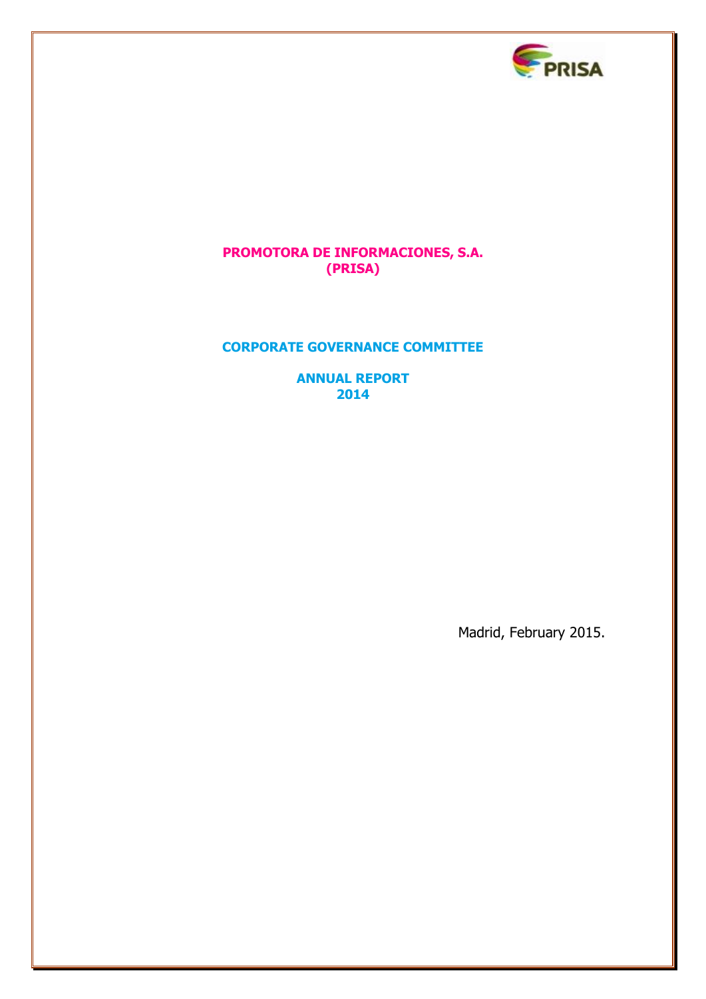

# **PROMOTORA DE INFORMACIONES, S.A. (PRISA)**

# **CORPORATE GOVERNANCE COMMITTEE**

**ANNUAL REPORT 2014**

Madrid, February 2015.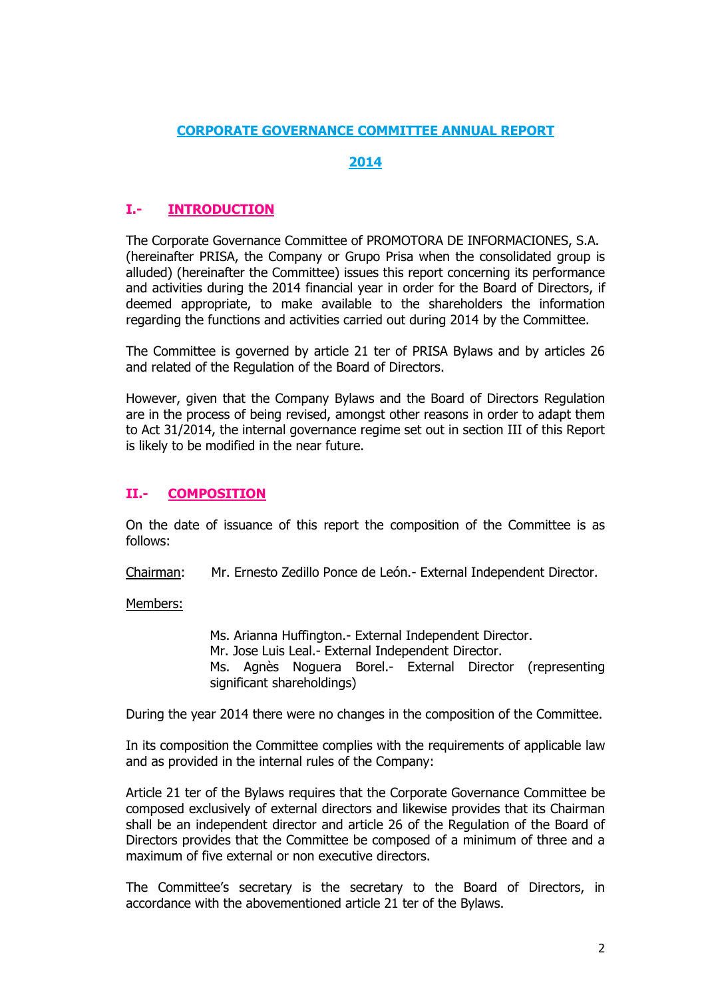## **CORPORATE GOVERNANCE COMMITTEE ANNUAL REPORT**

## **2014**

# **I.- INTRODUCTION**

The Corporate Governance Committee of PROMOTORA DE INFORMACIONES, S.A. (hereinafter PRISA, the Company or Grupo Prisa when the consolidated group is alluded) (hereinafter the Committee) issues this report concerning its performance and activities during the 2014 financial year in order for the Board of Directors, if deemed appropriate, to make available to the shareholders the information regarding the functions and activities carried out during 2014 by the Committee.

The Committee is governed by article 21 ter of PRISA Bylaws and by articles 26 and related of the Regulation of the Board of Directors.

However, given that the Company Bylaws and the Board of Directors Regulation are in the process of being revised, amongst other reasons in order to adapt them to Act 31/2014, the internal governance regime set out in section III of this Report is likely to be modified in the near future.

## **II.- COMPOSITION**

On the date of issuance of this report the composition of the Committee is as follows:

Chairman: Mr. Ernesto Zedillo Ponce de León.- External Independent Director.

Members:

Ms. Arianna Huffington.- External Independent Director. Mr. Jose Luis Leal.- External Independent Director. Ms. Agnès Noguera Borel.- External Director (representing significant shareholdings)

During the year 2014 there were no changes in the composition of the Committee.

In its composition the Committee complies with the requirements of applicable law and as provided in the internal rules of the Company:

Article 21 ter of the Bylaws requires that the Corporate Governance Committee be composed exclusively of external directors and likewise provides that its Chairman shall be an independent director and article 26 of the Regulation of the Board of Directors provides that the Committee be composed of a minimum of three and a maximum of five external or non executive directors.

The Committee's secretary is the secretary to the Board of Directors, in accordance with the abovementioned article 21 ter of the Bylaws.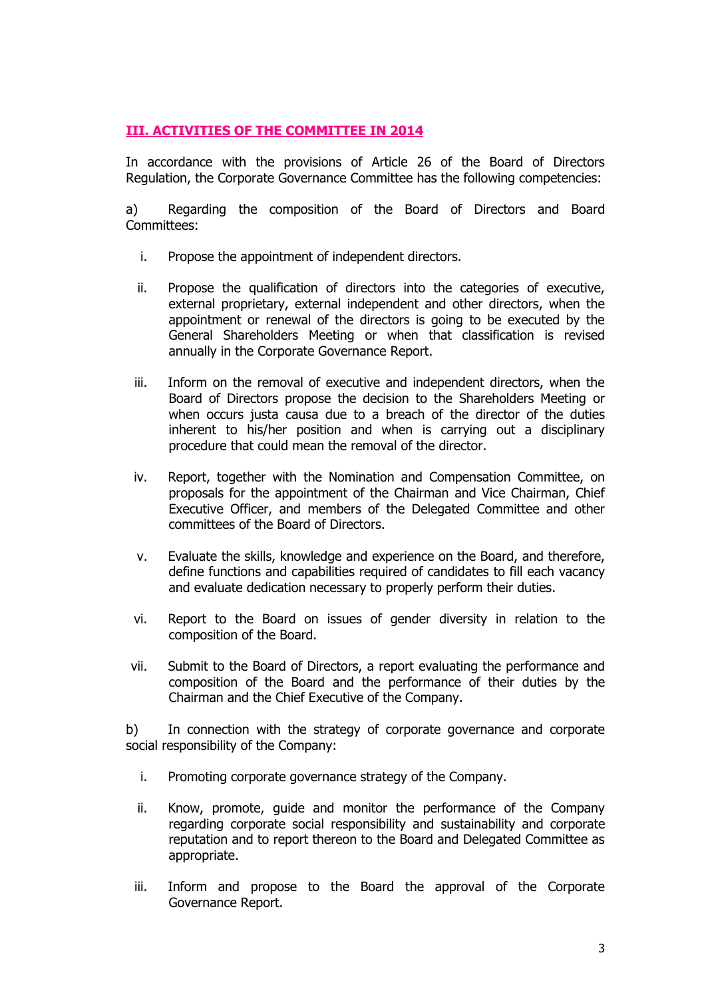# **III. ACTIVITIES OF THE COMMITTEE IN 2014**

In accordance with the provisions of Article 26 of the Board of Directors Regulation, the Corporate Governance Committee has the following competencies:

a) Regarding the composition of the Board of Directors and Board Committees:

- i. Propose the appointment of independent directors.
- ii. Propose the qualification of directors into the categories of executive, external proprietary, external independent and other directors, when the appointment or renewal of the directors is going to be executed by the General Shareholders Meeting or when that classification is revised annually in the Corporate Governance Report.
- iii. Inform on the removal of executive and independent directors, when the Board of Directors propose the decision to the Shareholders Meeting or when occurs justa causa due to a breach of the director of the duties inherent to his/her position and when is carrying out a disciplinary procedure that could mean the removal of the director.
- iv. Report, together with the Nomination and Compensation Committee, on proposals for the appointment of the Chairman and Vice Chairman, Chief Executive Officer, and members of the Delegated Committee and other committees of the Board of Directors.
- v. Evaluate the skills, knowledge and experience on the Board, and therefore, define functions and capabilities required of candidates to fill each vacancy and evaluate dedication necessary to properly perform their duties.
- vi. Report to the Board on issues of gender diversity in relation to the composition of the Board.
- vii. Submit to the Board of Directors, a report evaluating the performance and composition of the Board and the performance of their duties by the Chairman and the Chief Executive of the Company.

b) In connection with the strategy of corporate governance and corporate social responsibility of the Company:

- i. Promoting corporate governance strategy of the Company.
- ii. Know, promote, guide and monitor the performance of the Company regarding corporate social responsibility and sustainability and corporate reputation and to report thereon to the Board and Delegated Committee as appropriate.
- iii. Inform and propose to the Board the approval of the Corporate Governance Report.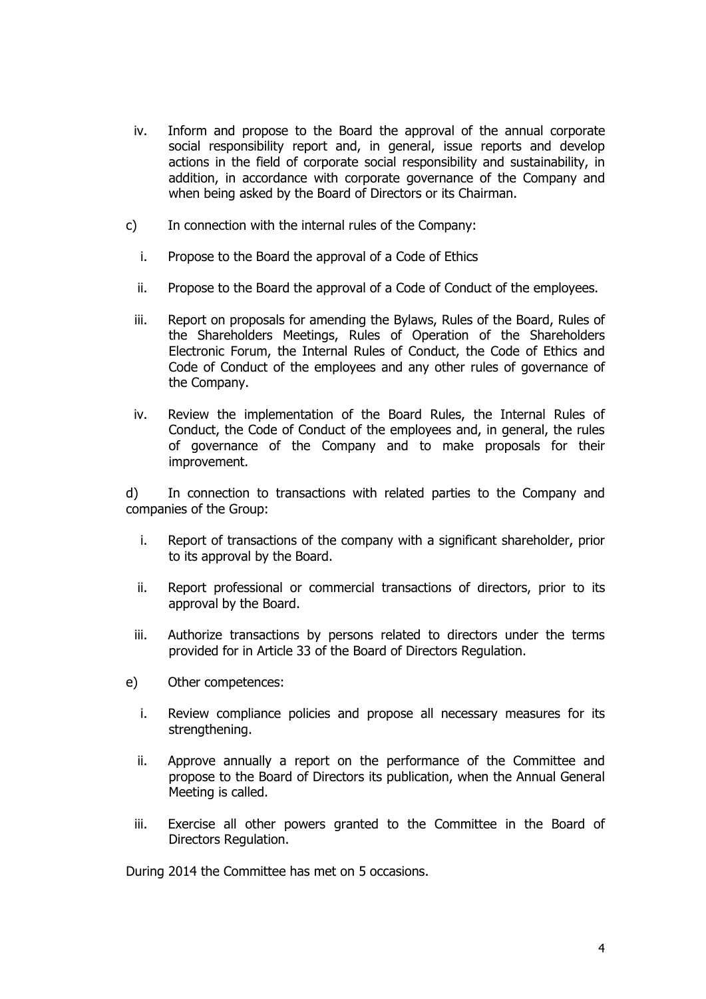- iv. Inform and propose to the Board the approval of the annual corporate social responsibility report and, in general, issue reports and develop actions in the field of corporate social responsibility and sustainability, in addition, in accordance with corporate governance of the Company and when being asked by the Board of Directors or its Chairman.
- c) In connection with the internal rules of the Company:
	- i. Propose to the Board the approval of a Code of Ethics
	- ii. Propose to the Board the approval of a Code of Conduct of the employees.
	- iii. Report on proposals for amending the Bylaws, Rules of the Board, Rules of the Shareholders Meetings, Rules of Operation of the Shareholders Electronic Forum, the Internal Rules of Conduct, the Code of Ethics and Code of Conduct of the employees and any other rules of governance of the Company.
	- iv. Review the implementation of the Board Rules, the Internal Rules of Conduct, the Code of Conduct of the employees and, in general, the rules of governance of the Company and to make proposals for their improvement.

d) In connection to transactions with related parties to the Company and companies of the Group:

- i. Report of transactions of the company with a significant shareholder, prior to its approval by the Board.
- ii. Report professional or commercial transactions of directors, prior to its approval by the Board.
- iii. Authorize transactions by persons related to directors under the terms provided for in Article 33 of the Board of Directors Regulation.
- e) Other competences:
	- i. Review compliance policies and propose all necessary measures for its strengthening.
	- ii. Approve annually a report on the performance of the Committee and propose to the Board of Directors its publication, when the Annual General Meeting is called.
	- iii. Exercise all other powers granted to the Committee in the Board of Directors Regulation.

During 2014 the Committee has met on 5 occasions.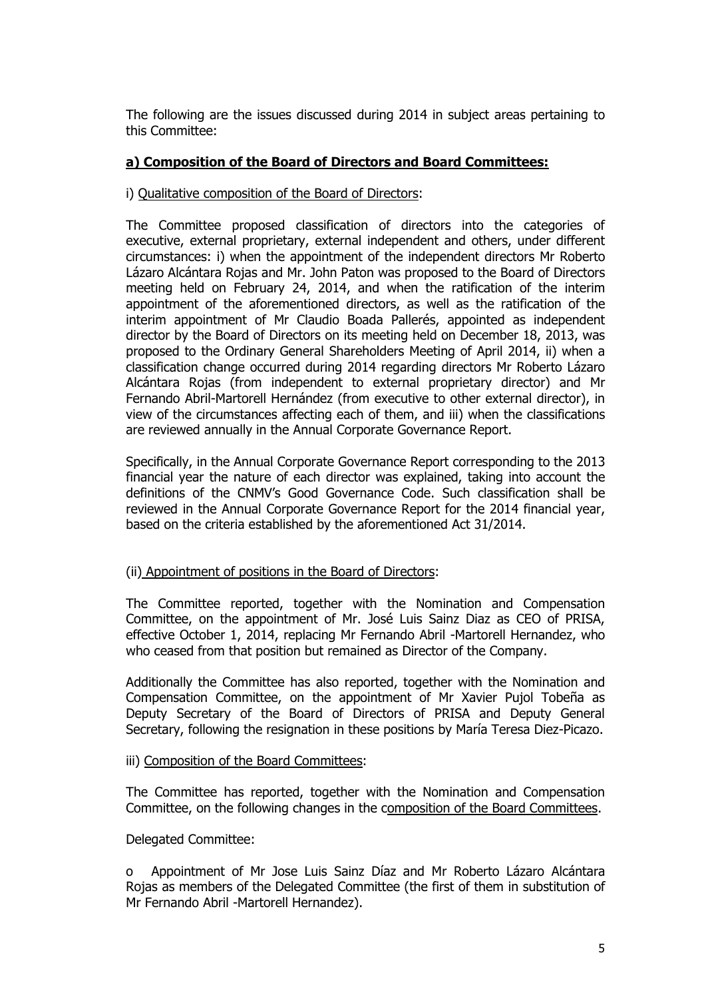The following are the issues discussed during 2014 in subject areas pertaining to this Committee:

## **a) Composition of the Board of Directors and Board Committees:**

## i) Qualitative composition of the Board of Directors:

The Committee proposed classification of directors into the categories of executive, external proprietary, external independent and others, under different circumstances: i) when the appointment of the independent directors Mr Roberto Lázaro Alcántara Rojas and Mr. John Paton was proposed to the Board of Directors meeting held on February 24, 2014, and when the ratification of the interim appointment of the aforementioned directors, as well as the ratification of the interim appointment of Mr Claudio Boada Pallerés, appointed as independent director by the Board of Directors on its meeting held on December 18, 2013, was proposed to the Ordinary General Shareholders Meeting of April 2014, ii) when a classification change occurred during 2014 regarding directors Mr Roberto Lázaro Alcántara Rojas (from independent to external proprietary director) and Mr Fernando Abril-Martorell Hernández (from executive to other external director), in view of the circumstances affecting each of them, and iii) when the classifications are reviewed annually in the Annual Corporate Governance Report.

Specifically, in the Annual Corporate Governance Report corresponding to the 2013 financial year the nature of each director was explained, taking into account the definitions of the CNMV's Good Governance Code. Such classification shall be reviewed in the Annual Corporate Governance Report for the 2014 financial year, based on the criteria established by the aforementioned Act 31/2014.

## (ii) Appointment of positions in the Board of Directors:

The Committee reported, together with the Nomination and Compensation Committee, on the appointment of Mr. José Luis Sainz Diaz as CEO of PRISA, effective October 1, 2014, replacing Mr Fernando Abril -Martorell Hernandez, who who ceased from that position but remained as Director of the Company.

Additionally the Committee has also reported, together with the Nomination and Compensation Committee, on the appointment of Mr Xavier Pujol Tobeña as Deputy Secretary of the Board of Directors of PRISA and Deputy General Secretary, following the resignation in these positions by María Teresa Diez-Picazo.

## iii) Composition of the Board Committees:

The Committee has reported, together with the Nomination and Compensation Committee, on the following changes in the composition of the Board Committees.

## Delegated Committee:

Appointment of Mr Jose Luis Sainz Díaz and Mr Roberto Lázaro Alcántara Rojas as members of the Delegated Committee (the first of them in substitution of Mr Fernando Abril -Martorell Hernandez).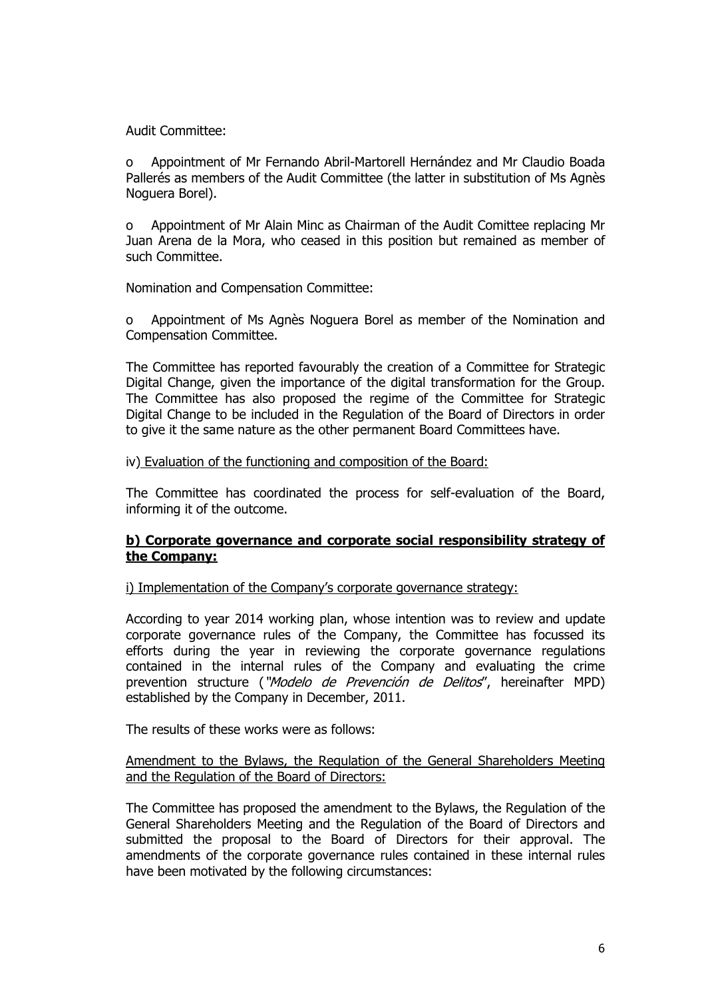Audit Committee:

o Appointment of Mr Fernando Abril-Martorell Hernández and Mr Claudio Boada Pallerés as members of the Audit Committee (the latter in substitution of Ms Agnès Noguera Borel).

o Appointment of Mr Alain Minc as Chairman of the Audit Comittee replacing Mr Juan Arena de la Mora, who ceased in this position but remained as member of such Committee.

Nomination and Compensation Committee:

o Appointment of Ms Agnès Noguera Borel as member of the Nomination and Compensation Committee.

The Committee has reported favourably the creation of a Committee for Strategic Digital Change, given the importance of the digital transformation for the Group. The Committee has also proposed the regime of the Committee for Strategic Digital Change to be included in the Regulation of the Board of Directors in order to give it the same nature as the other permanent Board Committees have.

## iv) Evaluation of the functioning and composition of the Board:

The Committee has coordinated the process for self-evaluation of the Board, informing it of the outcome.

## **b) Corporate governance and corporate social responsibility strategy of the Company:**

i) Implementation of the Company's corporate governance strategy:

According to year 2014 working plan, whose intention was to review and update corporate governance rules of the Company, the Committee has focussed its efforts during the year in reviewing the corporate governance regulations contained in the internal rules of the Company and evaluating the crime prevention structure ("Modelo de Prevención de Delitos", hereinafter MPD) established by the Company in December, 2011.

The results of these works were as follows:

## Amendment to the Bylaws, the Regulation of the General Shareholders Meeting and the Regulation of the Board of Directors:

The Committee has proposed the amendment to the Bylaws, the Regulation of the General Shareholders Meeting and the Regulation of the Board of Directors and submitted the proposal to the Board of Directors for their approval. The amendments of the corporate governance rules contained in these internal rules have been motivated by the following circumstances: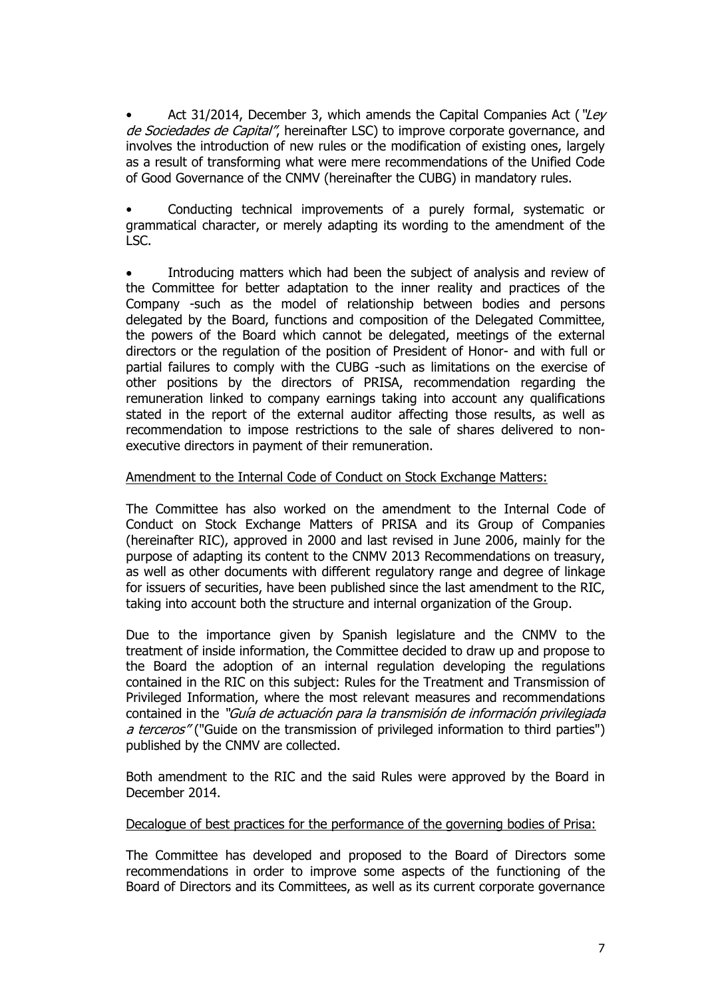Act 31/2014, December 3, which amends the Capital Companies Act ("Lev de Sociedades de Capital", hereinafter LSC) to improve corporate governance, and involves the introduction of new rules or the modification of existing ones, largely as a result of transforming what were mere recommendations of the Unified Code of Good Governance of the CNMV (hereinafter the CUBG) in mandatory rules.

• Conducting technical improvements of a purely formal, systematic or grammatical character, or merely adapting its wording to the amendment of the LSC.

 Introducing matters which had been the subject of analysis and review of the Committee for better adaptation to the inner reality and practices of the Company -such as the model of relationship between bodies and persons delegated by the Board, functions and composition of the Delegated Committee, the powers of the Board which cannot be delegated, meetings of the external directors or the regulation of the position of President of Honor- and with full or partial failures to comply with the CUBG -such as limitations on the exercise of other positions by the directors of PRISA, recommendation regarding the remuneration linked to company earnings taking into account any qualifications stated in the report of the external auditor affecting those results, as well as recommendation to impose restrictions to the sale of shares delivered to nonexecutive directors in payment of their remuneration.

## Amendment to the Internal Code of Conduct on Stock Exchange Matters:

The Committee has also worked on the amendment to the Internal Code of Conduct on Stock Exchange Matters of PRISA and its Group of Companies (hereinafter RIC), approved in 2000 and last revised in June 2006, mainly for the purpose of adapting its content to the CNMV 2013 Recommendations on treasury, as well as other documents with different regulatory range and degree of linkage for issuers of securities, have been published since the last amendment to the RIC, taking into account both the structure and internal organization of the Group.

Due to the importance given by Spanish legislature and the CNMV to the treatment of inside information, the Committee decided to draw up and propose to the Board the adoption of an internal regulation developing the regulations contained in the RIC on this subject: Rules for the Treatment and Transmission of Privileged Information, where the most relevant measures and recommendations contained in the "Guía de actuación para la transmisión de información privilegiada a terceros" ("Guide on the transmission of privileged information to third parties") published by the CNMV are collected.

Both amendment to the RIC and the said Rules were approved by the Board in December 2014.

## Decalogue of best practices for the performance of the governing bodies of Prisa:

The Committee has developed and proposed to the Board of Directors some recommendations in order to improve some aspects of the functioning of the Board of Directors and its Committees, as well as its current corporate governance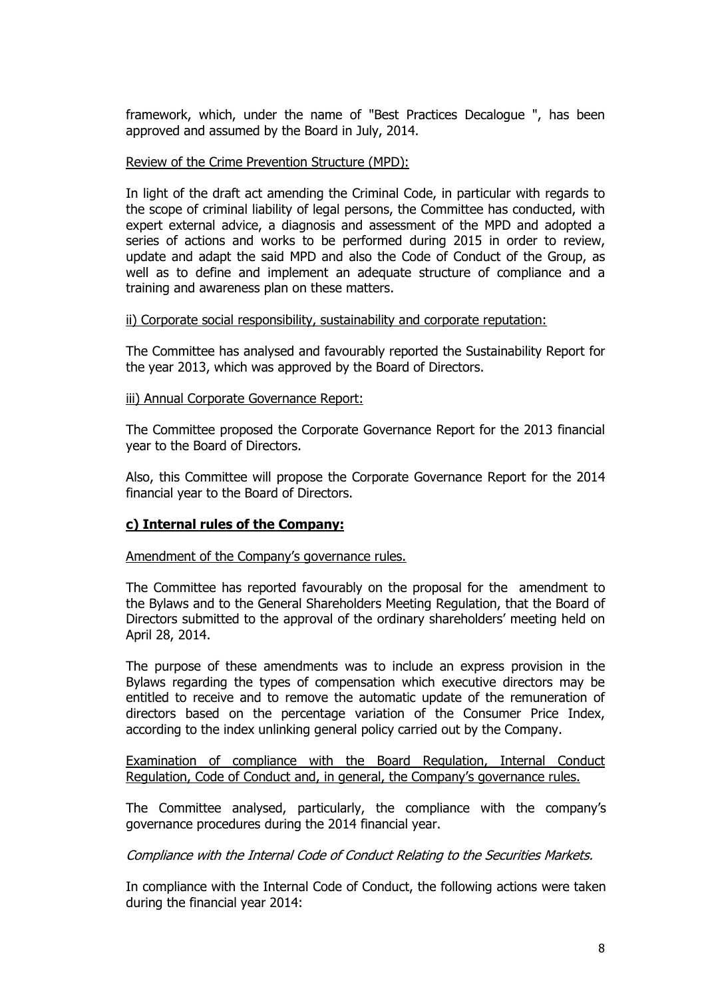framework, which, under the name of "Best Practices Decalogue ", has been approved and assumed by the Board in July, 2014.

## Review of the Crime Prevention Structure (MPD):

In light of the draft act amending the Criminal Code, in particular with regards to the scope of criminal liability of legal persons, the Committee has conducted, with expert external advice, a diagnosis and assessment of the MPD and adopted a series of actions and works to be performed during 2015 in order to review, update and adapt the said MPD and also the Code of Conduct of the Group, as well as to define and implement an adequate structure of compliance and a training and awareness plan on these matters.

## ii) Corporate social responsibility, sustainability and corporate reputation:

The Committee has analysed and favourably reported the Sustainability Report for the year 2013, which was approved by the Board of Directors.

#### iii) Annual Corporate Governance Report:

The Committee proposed the Corporate Governance Report for the 2013 financial year to the Board of Directors.

Also, this Committee will propose the Corporate Governance Report for the 2014 financial year to the Board of Directors.

## **c) Internal rules of the Company:**

## Amendment of the Company's governance rules.

The Committee has reported favourably on the proposal for the amendment to the Bylaws and to the General Shareholders Meeting Regulation, that the Board of Directors submitted to the approval of the ordinary shareholders' meeting held on April 28, 2014.

The purpose of these amendments was to include an express provision in the Bylaws regarding the types of compensation which executive directors may be entitled to receive and to remove the automatic update of the remuneration of directors based on the percentage variation of the Consumer Price Index, according to the index unlinking general policy carried out by the Company.

Examination of compliance with the Board Regulation, Internal Conduct Regulation, Code of Conduct and, in general, the Company's governance rules.

The Committee analysed, particularly, the compliance with the company's governance procedures during the 2014 financial year.

Compliance with the Internal Code of Conduct Relating to the Securities Markets.

In compliance with the Internal Code of Conduct, the following actions were taken during the financial year 2014: